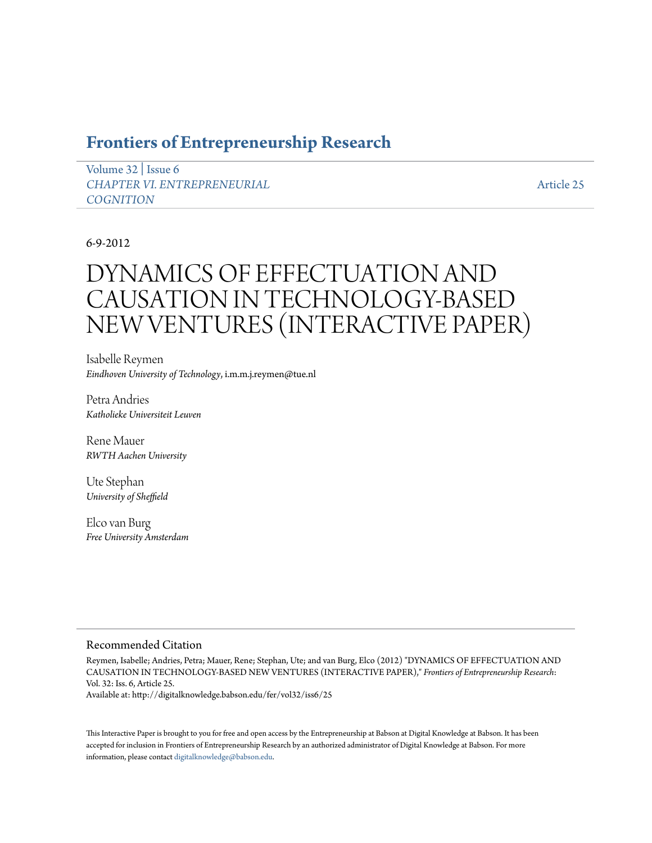# **[Frontiers of Entrepreneurship Research](http://digitalknowledge.babson.edu/fer)**

[Volume 32](http://digitalknowledge.babson.edu/fer/vol32) | [Issue 6](http://digitalknowledge.babson.edu/fer/vol32/iss6) *[CHAPTER VI. ENTREPRENEURIAL](http://digitalknowledge.babson.edu/fer/vol32/iss6) [COGNITION](http://digitalknowledge.babson.edu/fer/vol32/iss6)*

[Article 25](http://digitalknowledge.babson.edu/fer/vol32/iss6/25)

# 6-9-2012

# DYNAMICS OF EFFECTUATION AND CAUSATION IN TECHNOLOGY-BASED NEW VENTURES (INTERACTIVE PAPER)

Isabelle Reymen *Eindhoven University of Technology*, i.m.m.j.reymen@tue.nl

Petra Andries *Katholieke Universiteit Leuven*

Rene Mauer *RWTH Aachen University*

Ute Stephan *University of Sheffield*

Elco van Burg *Free University Amsterdam*

### Recommended Citation

Reymen, Isabelle; Andries, Petra; Mauer, Rene; Stephan, Ute; and van Burg, Elco (2012) "DYNAMICS OF EFFECTUATION AND CAUSATION IN TECHNOLOGY-BASED NEW VENTURES (INTERACTIVE PAPER)," *Frontiers of Entrepreneurship Research*: Vol. 32: Iss. 6, Article 25.

Available at: http://digitalknowledge.babson.edu/fer/vol32/iss6/25

This Interactive Paper is brought to you for free and open access by the Entrepreneurship at Babson at Digital Knowledge at Babson. It has been accepted for inclusion in Frontiers of Entrepreneurship Research by an authorized administrator of Digital Knowledge at Babson. For more information, please contact [digitalknowledge@babson.edu.](mailto:digitalknowledge@babson.edu)